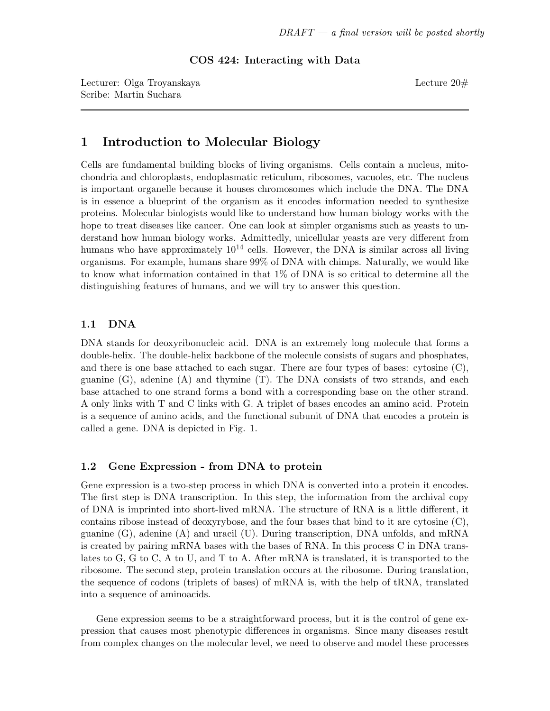COS 424: Interacting with Data

Lecturer: Olga Troyanskaya Lecture 20# Scribe: Martin Suchara

# 1 Introduction to Molecular Biology

Cells are fundamental building blocks of living organisms. Cells contain a nucleus, mitochondria and chloroplasts, endoplasmatic reticulum, ribosomes, vacuoles, etc. The nucleus is important organelle because it houses chromosomes which include the DNA. The DNA is in essence a blueprint of the organism as it encodes information needed to synthesize proteins. Molecular biologists would like to understand how human biology works with the hope to treat diseases like cancer. One can look at simpler organisms such as yeasts to understand how human biology works. Admittedly, unicellular yeasts are very different from humans who have approximately  $10^{14}$  cells. However, the DNA is similar across all living organisms. For example, humans share 99% of DNA with chimps. Naturally, we would like to know what information contained in that 1% of DNA is so critical to determine all the distinguishing features of humans, and we will try to answer this question.

### 1.1 DNA

DNA stands for deoxyribonucleic acid. DNA is an extremely long molecule that forms a double-helix. The double-helix backbone of the molecule consists of sugars and phosphates, and there is one base attached to each sugar. There are four types of bases: cytosine (C), guanine  $(G)$ , adenine  $(A)$  and thymine  $(T)$ . The DNA consists of two strands, and each base attached to one strand forms a bond with a corresponding base on the other strand. A only links with T and C links with G. A triplet of bases encodes an amino acid. Protein is a sequence of amino acids, and the functional subunit of DNA that encodes a protein is called a gene. DNA is depicted in Fig. 1.

### 1.2 Gene Expression - from DNA to protein

Gene expression is a two-step process in which DNA is converted into a protein it encodes. The first step is DNA transcription. In this step, the information from the archival copy of DNA is imprinted into short-lived mRNA. The structure of RNA is a little different, it contains ribose instead of deoxyrybose, and the four bases that bind to it are cytosine  $(C)$ , guanine (G), adenine (A) and uracil (U). During transcription, DNA unfolds, and mRNA is created by pairing mRNA bases with the bases of RNA. In this process C in DNA translates to G, G to C, A to U, and T to A. After mRNA is translated, it is transported to the ribosome. The second step, protein translation occurs at the ribosome. During translation, the sequence of codons (triplets of bases) of mRNA is, with the help of tRNA, translated into a sequence of aminoacids.

Gene expression seems to be a straightforward process, but it is the control of gene expression that causes most phenotypic differences in organisms. Since many diseases result from complex changes on the molecular level, we need to observe and model these processes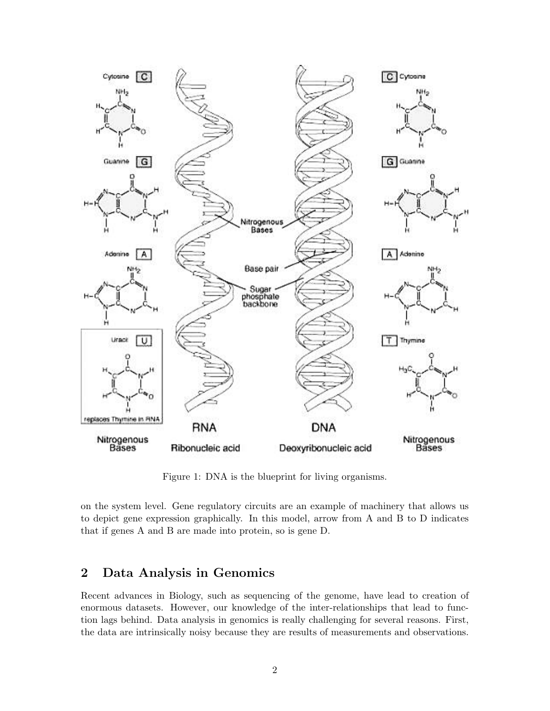

Figure 1: DNA is the blueprint for living organisms.

on the system level. Gene regulatory circuits are an example of machinery that allows us to depict gene expression graphically. In this model, arrow from A and B to D indicates that if genes A and B are made into protein, so is gene D.

## 2 Data Analysis in Genomics

Recent advances in Biology, such as sequencing of the genome, have lead to creation of enormous datasets. However, our knowledge of the inter-relationships that lead to function lags behind. Data analysis in genomics is really challenging for several reasons. First, the data are intrinsically noisy because they are results of measurements and observations.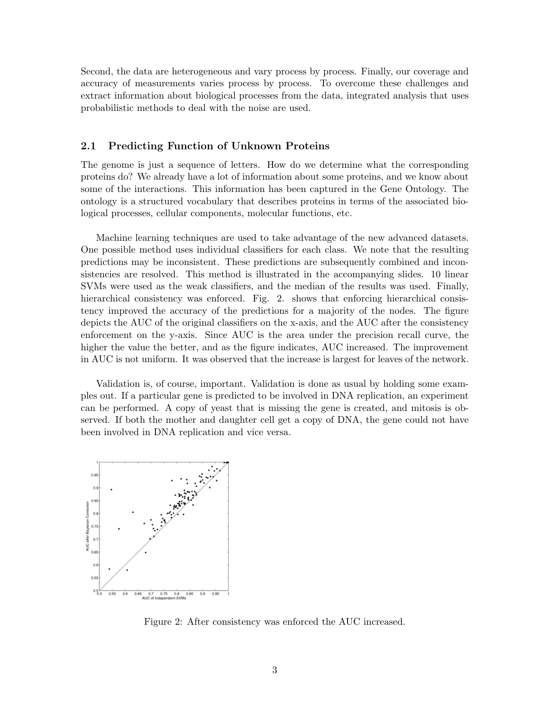Second, the data are heterogeneous and vary process by process. Finally, our coverage and accuracy of measurements varies process by process. To overcome these challenges and extract information about biological processes from the data, integrated analysis that uses probabilistic methods to deal with the noise are used.

#### 2.1 Predicting Function of Unknown Proteins

The genome is just a sequence of letters. How do we determine what the corresponding proteins do? We already have a lot of information about some proteins, and we know about some of the interactions. This information has been captured in the Gene Ontology. The ontology is a structured vocabulary that describes proteins in terms of the associated biological processes, cellular components, molecular functions, etc.

Machine learning techniques are used to take advantage of the new advanced datasets. One possible method uses individual classifiers for each class. We note that the resulting predictions may be inconsistent. These predictions are subsequently combined and inconsistencies are resolved. This method is illustrated in the accompanying slides. 10 linear SVMs were used as the weak classifiers, and the median of the results was used. Finally, hierarchical consistency was enforced. Fig. 2. shows that enforcing hierarchical consistency improved the accuracy of the predictions for a majority of the nodes. The figure depicts the AUC of the original classifiers on the x-axis, and the AUC after the consistency enforcement on the y-axis. Since AUC is the area under the precision recall curve, the higher the value the better, and as the figure indicates, AUC increased. The improvement in AUC is not uniform. It was observed that the increase is largest for leaves of the network.

Validation is, of course, important. Validation is done as usual by holding some examples out. If a particular gene is predicted to be involved in DNA replication, an experiment can be performed. A copy of yeast that is missing the gene is created, and mitosis is observed. If both the mother and daughter cell get a copy of DNA, the gene could not have been involved in DNA replication and vice versa.



Figure 2: After consistency was enforced the AUC increased.